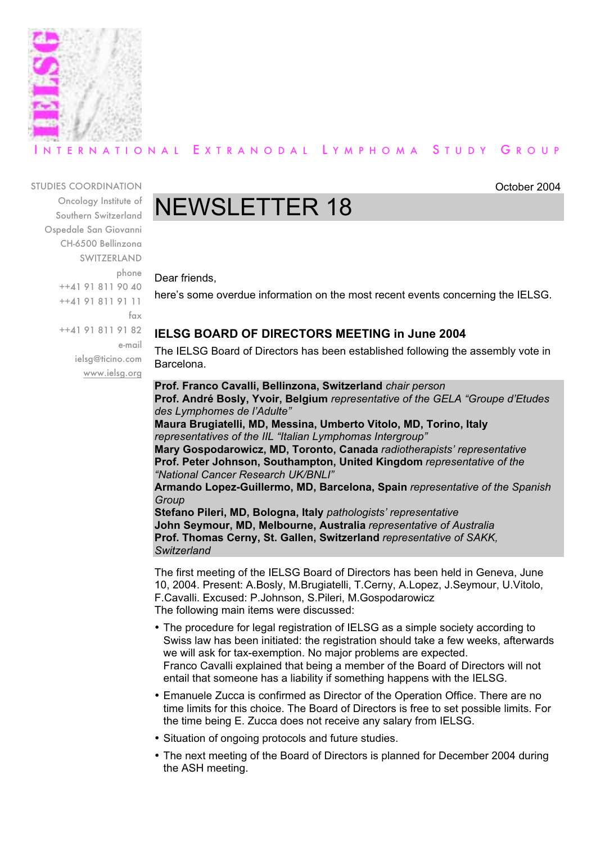

# ERNATIONAL EXTRANODAL LYMPHOMA STUDY GROUP

STUDIES COORDINATION

Oncology Institute of Southern Switzerland Ospedale San Giovanni CH-6500 Bellinzona SWITZERLAND phone ++41 91 811 90 40 ++41 91 811 91 11 fax ++41 91 811 91 82 e-mail ielsg@ticino.com www.ielsg.org

# NEWSLETTER 18

Dear friends,

here's some overdue information on the most recent events concerning the IELSG.

October 2004

# **IELSG BOARD OF DIRECTORS MEETING in June 2004**

The IELSG Board of Directors has been established following the assembly vote in Barcelona.

**Prof. Franco Cavalli, Bellinzona, Switzerland** *chair person* **Prof. André Bosly, Yvoir, Belgium** *representative of the GELA "Groupe d'Etudes des Lymphomes de l'Adulte"* **Maura Brugiatelli, MD, Messina, Umberto Vitolo, MD, Torino, Italy** *representatives of the IIL "Italian Lymphomas Intergroup"* **Mary Gospodarowicz, MD, Toronto, Canada** *radiotherapists' representative* **Prof. Peter Johnson, Southampton, United Kingdom** *representative of the "National Cancer Research UK/BNLI"* **Armando Lopez-Guillermo, MD, Barcelona, Spain** *representative of the Spanish Group*

**Stefano Pileri, MD, Bologna, Italy** *pathologists' representative* **John Seymour, MD, Melbourne, Australia** *representative of Australia* **Prof. Thomas Cerny, St. Gallen, Switzerland** *representative of SAKK, Switzerland*

The first meeting of the IELSG Board of Directors has been held in Geneva, June 10, 2004. Present: A.Bosly, M.Brugiatelli, T.Cerny, A.Lopez, J.Seymour, U.Vitolo, F.Cavalli. Excused: P.Johnson, S.Pileri, M.Gospodarowicz The following main items were discussed:

- The procedure for legal registration of IELSG as a simple society according to Swiss law has been initiated: the registration should take a few weeks, afterwards we will ask for tax-exemption. No major problems are expected. Franco Cavalli explained that being a member of the Board of Directors will not entail that someone has a liability if something happens with the IELSG.
- Emanuele Zucca is confirmed as Director of the Operation Office. There are no time limits for this choice. The Board of Directors is free to set possible limits. For the time being E. Zucca does not receive any salary from IELSG.
- Situation of ongoing protocols and future studies.
- The next meeting of the Board of Directors is planned for December 2004 during the ASH meeting.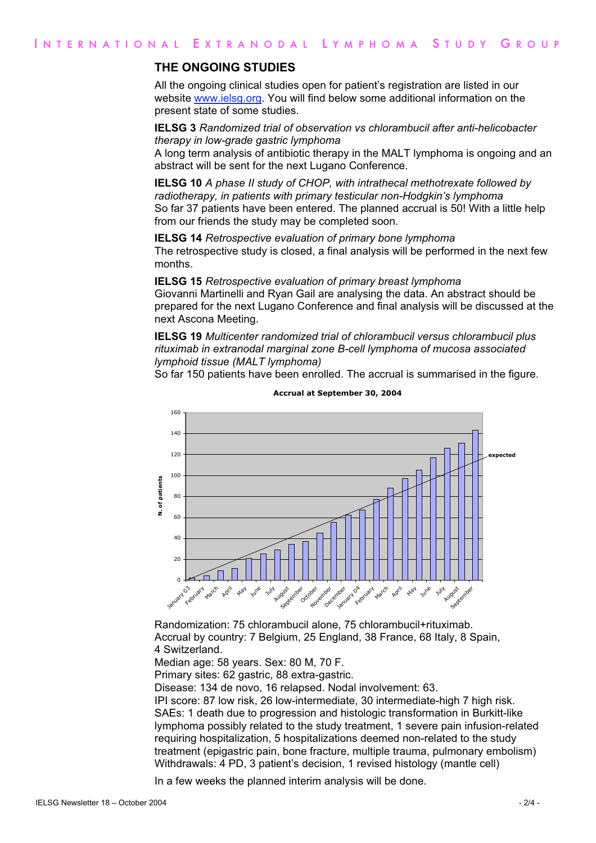## **THE ONGOING STUDIES**

All the ongoing clinical studies open for patient's registration are listed in our website www.ielsg.org. You will find below some additional information on the present state of some studies.

**IELSG 3** *Randomized trial of observation vs chlorambucil after anti-helicobacter therapy in low-grade gastric lymphoma*

A long term analysis of antibiotic therapy in the MALT lymphoma is ongoing and an abstract will be sent for the next Lugano Conference.

**IELSG 10** *A phase II study of CHOP, with intrathecal methotrexate followed by radiotherapy, in patients with primary testicular non-Hodgkin's lymphoma* So far 37 patients have been entered. The planned accrual is 50! With a little help from our friends the study may be completed soon.

**IELSG 14** *Retrospective evaluation of primary bone lymphoma* The retrospective study is closed, a final analysis will be performed in the next few months.

#### **IELSG 15** *Retrospective evaluation of primary breast lymphoma*

Giovanni Martinelli and Ryan Gail are analysing the data. An abstract should be prepared for the next Lugano Conference and final analysis will be discussed at the next Ascona Meeting.

**IELSG 19** *Multicenter randomized trial of chlorambucil versus chlorambucil plus rituximab in extranodal marginal zone B-cell lymphoma of mucosa associated lymphoid tissue (MALT lymphoma)*

So far 150 patients have been enrolled. The accrual is summarised in the figure.



**Accrual at September 30, 2004**

Randomization: 75 chlorambucil alone, 75 chlorambucil+rituximab. Accrual by country: 7 Belgium, 25 England, 38 France, 68 Italy, 8 Spain, 4 Switzerland.

Median age: 58 years. Sex: 80 M, 70 F.

Primary sites: 62 gastric, 88 extra-gastric.

Disease: 134 de novo, 16 relapsed. Nodal involvement: 63.

IPI score: 87 low risk, 26 low-intermediate, 30 intermediate-high 7 high risk. SAEs: 1 death due to progression and histologic transformation in Burkitt-like lymphoma possibly related to the study treatment, 1 severe pain infusion-related requiring hospitalization, 5 hospitalizations deemed non-related to the study treatment (epigastric pain, bone fracture, multiple trauma, pulmonary embolism) Withdrawals: 4 PD, 3 patient's decision, 1 revised histology (mantle cell)

In a few weeks the planned interim analysis will be done.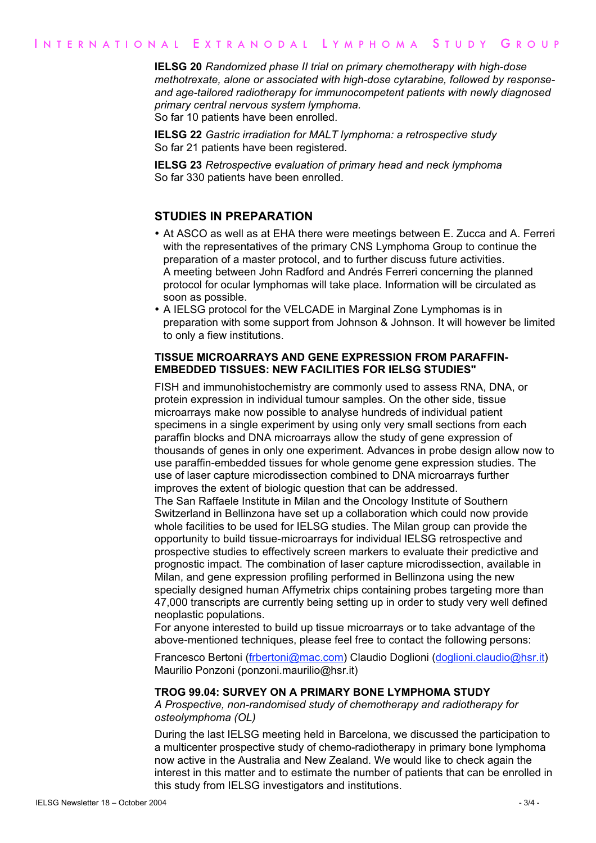**IELSG 20** *Randomized phase II trial on primary chemotherapy with high-dose methotrexate, alone or associated with high-dose cytarabine, followed by responseand age-tailored radiotherapy for immunocompetent patients with newly diagnosed primary central nervous system lymphoma.* So far 10 patients have been enrolled.

**IELSG 22** *Gastric irradiation for MALT lymphoma: a retrospective study* So far 21 patients have been registered.

**IELSG 23** *Retrospective evaluation of primary head and neck lymphoma* So far 330 patients have been enrolled.

## **STUDIES IN PREPARATION**

- At ASCO as well as at EHA there were meetings between E. Zucca and A. Ferreri with the representatives of the primary CNS Lymphoma Group to continue the preparation of a master protocol, and to further discuss future activities. A meeting between John Radford and Andrés Ferreri concerning the planned protocol for ocular lymphomas will take place. Information will be circulated as soon as possible.
- A IELSG protocol for the VELCADE in Marginal Zone Lymphomas is in preparation with some support from Johnson & Johnson. It will however be limited to only a fiew institutions.

#### **TISSUE MICROARRAYS AND GENE EXPRESSION FROM PARAFFIN-EMBEDDED TISSUES: NEW FACILITIES FOR IELSG STUDIES"**

FISH and immunohistochemistry are commonly used to assess RNA, DNA, or protein expression in individual tumour samples. On the other side, tissue microarrays make now possible to analyse hundreds of individual patient specimens in a single experiment by using only very small sections from each paraffin blocks and DNA microarrays allow the study of gene expression of thousands of genes in only one experiment. Advances in probe design allow now to use paraffin-embedded tissues for whole genome gene expression studies. The use of laser capture microdissection combined to DNA microarrays further improves the extent of biologic question that can be addressed.

The San Raffaele Institute in Milan and the Oncology Institute of Southern Switzerland in Bellinzona have set up a collaboration which could now provide whole facilities to be used for IELSG studies. The Milan group can provide the opportunity to build tissue-microarrays for individual IELSG retrospective and prospective studies to effectively screen markers to evaluate their predictive and prognostic impact. The combination of laser capture microdissection, available in Milan, and gene expression profiling performed in Bellinzona using the new specially designed human Affymetrix chips containing probes targeting more than 47,000 transcripts are currently being setting up in order to study very well defined neoplastic populations.

For anyone interested to build up tissue microarrays or to take advantage of the above-mentioned techniques, please feel free to contact the following persons:

Francesco Bertoni (frbertoni@mac.com) Claudio Doglioni (doglioni.claudio@hsr.it) Maurilio Ponzoni (ponzoni.maurilio@hsr.it)

#### **TROG 99.04: SURVEY ON A PRIMARY BONE LYMPHOMA STUDY**

*A Prospective, non-randomised study of chemotherapy and radiotherapy for osteolymphoma (OL)*

During the last IELSG meeting held in Barcelona, we discussed the participation to a multicenter prospective study of chemo-radiotherapy in primary bone lymphoma now active in the Australia and New Zealand. We would like to check again the interest in this matter and to estimate the number of patients that can be enrolled in this study from IELSG investigators and institutions.